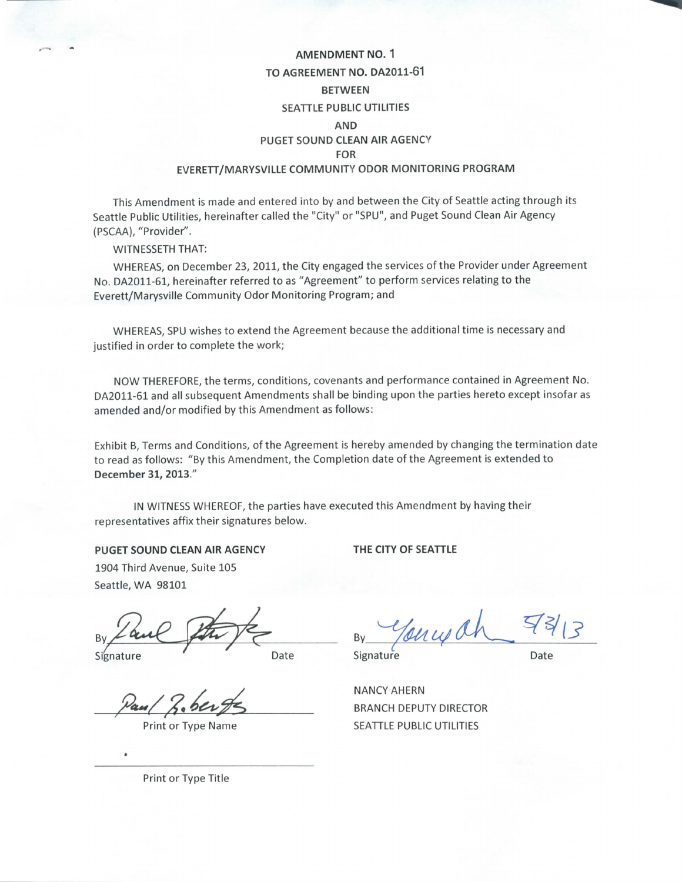## **AMENDMENT NO. 1 TO AGREEMENT NO. DA2011-61 BETWEEN SEATTLE PUBLIC UTILITIES AND PUGET SOUND CLEAN AIR AGENCY FOR EVERETT/MARYSVILLE COMMUNITY ODOR MONITORING PROGRAM**

This Amendment is made and entered into by and between the City of Seattle acting through its Seattle Public Utilities, hereinafter called the "City" or "SPU", and Puget Sound Clean Air Agency (PSCAA), "Provider".

WITNESSETH THAT:

WHEREAS, on December 23, 2011, the City engaged the services of the Provider under Agreement No. DA2011-61, hereinafter referred to as "Agreement" to perform services relating to the Everett/Marysville Community Odor Monitoring Program; and

WHEREAS, SPU wishes to extend the Agreement because the additional time is necessary and justified in order to complete the work;

NOW THEREFORE, the terms, conditions, covenants and performance contained in Agreement No. DA2011-61 and all subsequent Amendments shall be binding upon the parties hereto except insofar as amended and/or modified by this Amendment as follows:

Exhibit B, Terms and Conditions, of the Agreement is hereby amended by changing the termination date to read as follows: "By this Amendment, the Completion date of the Agreement is extended to December 31, 2013."

IN WITNESS WHEREOF, the parties have executed this Amendment by having their representatives affix their signatures below.

**PUGET SOUND CLEAN AIR AGENCY**

**THE CITY OF SEATTLE**

1904 Third Avenue, Suite 105 Seattle, WA 98101

Signature **Date** 

Print or Type Name

 $By   
y$ 

Signature Date

**NANCY AHERN** BRANCH DEPUTY DIRECTOR SEATTLE PUBLIC UTILITIES

Print or Type Title